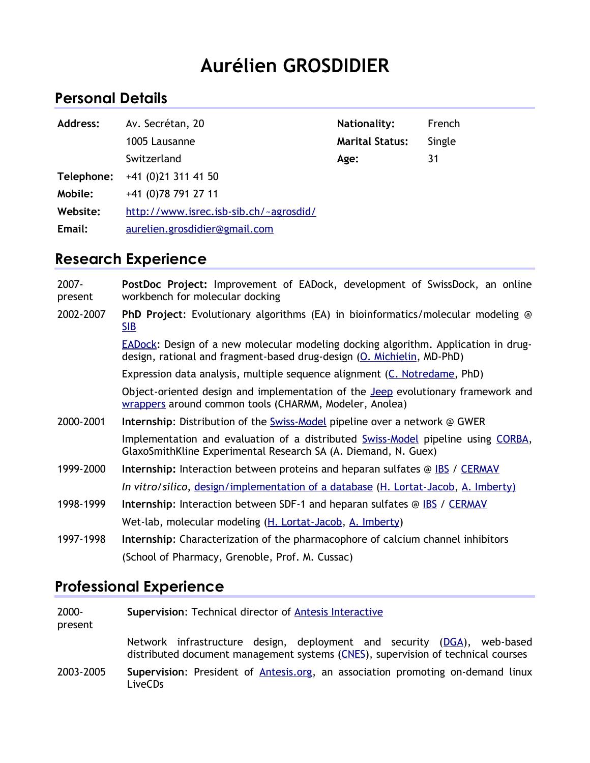# **Aurélien GROSDIDIER**

## **Personal Details**

| Address:   | Av. Secrétan, 20                       | Nationality:           | French |
|------------|----------------------------------------|------------------------|--------|
|            | 1005 Lausanne                          | <b>Marital Status:</b> | Single |
|            | Switzerland                            | Age:                   | 31     |
| Telephone: | $+41$ (0)21 311 41 50                  |                        |        |
| Mobile:    | +41 (0) 78 791 27 11                   |                        |        |
| Website:   | http://www.isrec.isb-sib.ch/~agrosdid/ |                        |        |
| Email:     | aurelien.grosdidier@gmail.com          |                        |        |

## **Research Experience**

2007 present **PostDoc Project:** Improvement of EADock, development of SwissDock, an online workbench for molecular docking 2002-2007 **PhD Project**: Evolutionary algorithms (EA) in bioinformatics/molecular modeling @ [SIB](http://isb-sib.ch/) [EADock:](http://www.isrec.isb-sib.ch/~agrosdid/projects/eadock/index.html) Design of a new molecular modeling docking algorithm. Application in drugdesign, rational and fragment-based drug-design [\(O. Michielin,](mailto:olivier.michielin@isrec.unil.ch) MD-PhD) Expression data analysis, multiple sequence alignment [\(C. Notredame,](mailto:cedric.notredame@igs.cnrs-mrs.fr) PhD) Object-oriented design and implementation of the [Jeep](http://www.isrec.isb-sib.ch/~agrosdid/projects/jeep/index.html) evolutionary framework and [wrappers](http://www.isrec.isb-sib.ch/~agrosdid/projects/wrappers/index.html) around common tools (CHARMM, Modeler, Anolea) 2000-2001 **Internship**: Distribution of the [Swiss-Model](http://www.expasy.org/swissmod/SWISS-MODEL.html) pipeline over a network @ GWER Implementation and evaluation of a distributed [Swiss-Model](http://www.expasy.org/swissmod/SWISS-MODEL.html) pipeline using [CORBA,](http://www.omg.org/corba/) GlaxoSmithKline Experimental Research SA (A. Diemand, N. Guex) 1999-2000 **Internship:** Interaction between proteins and heparan sulfates @ [IBS](http://www.ibs.fr/content/ibs/home/) / [CERMAV](http://www.cermav.cnrs.fr/) *In vitro*/*silico*, [design/implementation of a database](http://www.cermav.cnrs.fr/cgi-bin/gag/gag.cgi) [\(H. Lortat-Jacob,](mailto:lortat@ibs.fr) [A. Imberty\)](http://www.cermav.cnrs.fr/) 1998-1999 **Internship**: Interaction between SDF-1 and heparan sulfates @ [IBS](http://www.ibs.fr/content/ibs/home/) / [CERMAV](http://www.cermav.cnrs.fr/) Wet-lab, molecular modeling [\(H. Lortat-Jacob,](mailto:lortat@ibs.fr) [A. Imberty\)](http://www.cermav.cnrs.fr/) 1997-1998 **Internship**: Characterization of the pharmacophore of calcium channel inhibitors (School of Pharmacy, Grenoble, Prof. M. Cussac)

## **Professional Experience**

| 2000-<br>present | Supervision: Technical director of <b>Antesis Interactive</b>                                                                                               |  |
|------------------|-------------------------------------------------------------------------------------------------------------------------------------------------------------|--|
|                  | Network infrastructure design, deployment and security (DGA), web-based<br>distributed document management systems (CNES), supervision of technical courses |  |
| 2003-2005        | Supervision: President of Antesis.org, an association promoting on-demand linux<br>LiveCD <sub>S</sub>                                                      |  |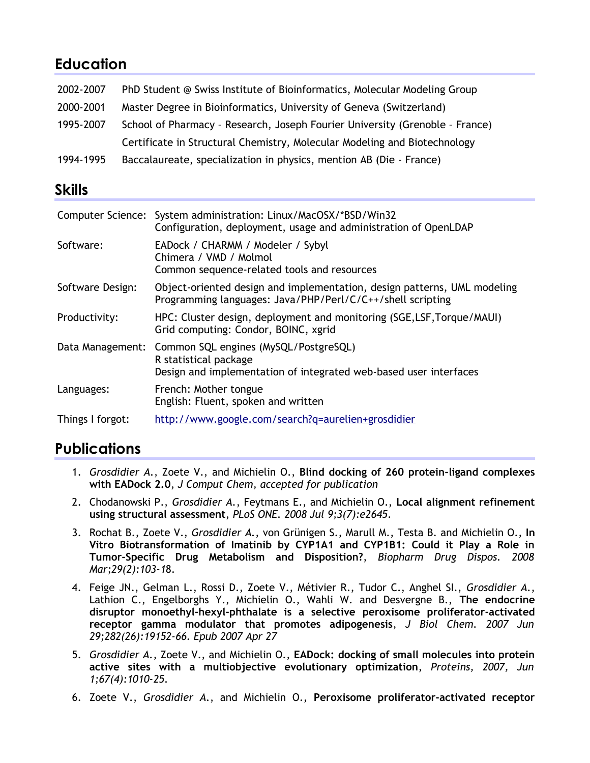## **Education**

| 2002-2007 | PhD Student @ Swiss Institute of Bioinformatics, Molecular Modeling Group    |
|-----------|------------------------------------------------------------------------------|
| 2000-2001 | Master Degree in Bioinformatics, University of Geneva (Switzerland)          |
| 1995-2007 | School of Pharmacy - Research, Joseph Fourier University (Grenoble - France) |
|           | Certificate in Structural Chemistry, Molecular Modeling and Biotechnology    |
| 1994-1995 | Baccalaureate, specialization in physics, mention AB (Die - France)          |

#### **Skills**

|                  | Computer Science: System administration: Linux/MacOSX/*BSD/Win32<br>Configuration, deployment, usage and administration of OpenLDAP                  |
|------------------|------------------------------------------------------------------------------------------------------------------------------------------------------|
| Software:        | EADock / CHARMM / Modeler / Sybyl<br>Chimera / VMD / Molmol<br>Common sequence-related tools and resources                                           |
| Software Design: | Object-oriented design and implementation, design patterns, UML modeling<br>Programming languages: Java/PHP/Perl/C/C++/shell scripting               |
| Productivity:    | HPC: Cluster design, deployment and monitoring (SGE, LSF, Torque/MAUI)<br>Grid computing: Condor, BOINC, xgrid                                       |
|                  | Data Management: Common SQL engines (MySQL/PostgreSQL)<br>R statistical package<br>Design and implementation of integrated web-based user interfaces |
| Languages:       | French: Mother tongue<br>English: Fluent, spoken and written                                                                                         |
| Things I forgot: | http://www.google.com/search?q=aurelien+grosdidier                                                                                                   |

# **Publications**

- 1. *Grosdidier A.*, Zoete V., and Michielin O., **Blind docking of 260 protein-ligand complexes with EADock 2.0**, *J Comput Chem, accepted for publication*
- 2. Chodanowski P., *Grosdidier A.*, Feytmans E., and Michielin O., **Local alignment refinement using structural assessment**, *PLoS ONE. 2008 Jul 9;3(7):e2645*.
- 3. Rochat B., Zoete V., *Grosdidier A.*, von Grünigen S., Marull M., Testa B. and Michielin O., **In Vitro Biotransformation of Imatinib by CYP1A1 and CYP1B1: Could it Play a Role in Tumor-Specific Drug Metabolism and Disposition?**, *Biopharm Drug Dispos. 2008 Mar;29(2):103-1*8.
- 4. [Feige JN., Gelman L., Rossi D., Zoete V., Métivier R., Tudor C., Anghel SI.,](http://www.ncbi.nlm.nih.gov/pubmed/17468099?ordinalpos=3&itool=EntrezSystem2.PEntrez.Pubmed.Pubmed_ResultsPanel.Pubmed_DefaultReportPanel.Pubmed_RVDocSum) *Grosdidier A.*, Lathion C., Engelborghs Y., Michielin O., Wahli W. and Desvergne B., **The endocrine [disruptor monoethyl-hexyl-phthalate is a selective peroxisome proliferator-activated](http://www.ncbi.nlm.nih.gov/pubmed/17468099?ordinalpos=3&itool=EntrezSystem2.PEntrez.Pubmed.Pubmed_ResultsPanel.Pubmed_DefaultReportPanel.Pubmed_RVDocSum) [receptor gamma modulator that promotes adipogenesis](http://www.ncbi.nlm.nih.gov/pubmed/17468099?ordinalpos=3&itool=EntrezSystem2.PEntrez.Pubmed.Pubmed_ResultsPanel.Pubmed_DefaultReportPanel.Pubmed_RVDocSum)**, *J Biol Chem. 2007 Jun 29;282(26):19152-66. Epub 2007 Apr 27*
- 5. *Grosdidier A.*, Zoete V., and Michielin O., **EADock: docking of small molecules into protein active sites with a multiobjective evolutionary optimization**, *Proteins, 2007, Jun 1;67(4):1010-25.*
- 6. Zoete V., *Grosdidier A.*, and Michielin O., **Peroxisome proliferator-activated receptor**